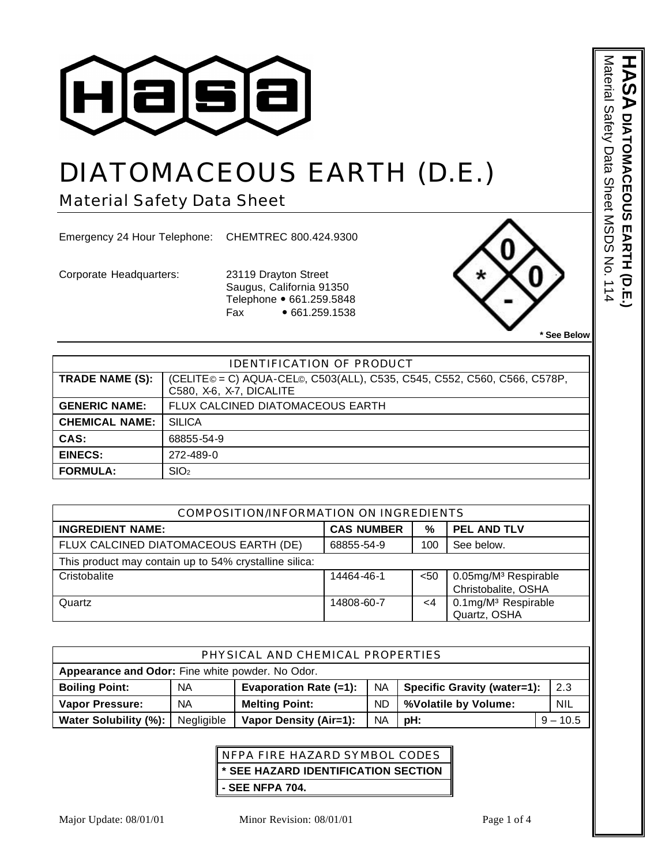

# DIATOMACEOUS EARTH (D.E.)

Material Safety Data Sheet

Emergency 24 Hour Telephone: CHEMTREC 800.424.9300

Corporate Headquarters: 23119 Drayton Street

Saugus, California 91350 Telephone • 661.259.5848 Fax • 661.259.1538



**\* See Below** 

**ASA DIATOMACEOUS EARTH (D.E.** 

Material Safety Data Sheet MSDS No. 114

Material Safety Data Sheet MSDS No. 114

**DIATOMACEOUS EARTH (D.E.)**

| <b>IDENTIFICATION OF PRODUCT</b> |                                                                                                      |  |
|----------------------------------|------------------------------------------------------------------------------------------------------|--|
| TRADE NAME (S):                  | (CELITE© = C) AQUA-CEL©, C503(ALL), C535, C545, C552, C560, C566, C578P,<br>C580, X-6, X-7, DICALITE |  |
| <b>GENERIC NAME:</b>             | FLUX CALCINED DIATOMACEOUS EARTH                                                                     |  |
| <b>CHEMICAL NAME:</b>            | <b>SILICA</b>                                                                                        |  |
| CAS:                             | 68855-54-9                                                                                           |  |
| <b>EINECS:</b>                   | 272-489-0                                                                                            |  |
| <b>FORMULA:</b>                  | SIO <sub>2</sub>                                                                                     |  |

| COMPOSITION/INFORMATION ON INGREDIENTS                 |                   |      |                                                         |
|--------------------------------------------------------|-------------------|------|---------------------------------------------------------|
| <b>INGREDIENT NAME:</b>                                | <b>CAS NUMBER</b> | $\%$ | <b>PEL AND TLV</b>                                      |
| FLUX CALCINED DIATOMACEOUS EARTH (DE)                  | 68855-54-9        | 100  | See below.                                              |
| This product may contain up to 54% crystalline silica: |                   |      |                                                         |
| Cristobalite                                           | 14464-46-1        | $50$ | 0.05mg/M <sup>3</sup> Respirable<br>Christobalite, OSHA |
| Quartz                                                 | 14808-60-7        | <4   | 0.1mg/M <sup>3</sup> Respirable<br>Quartz, OSHA         |

| PHYSICAL AND CHEMICAL PROPERTIES                 |            |                               |           |                                    |            |
|--------------------------------------------------|------------|-------------------------------|-----------|------------------------------------|------------|
| Appearance and Odor: Fine white powder. No Odor. |            |                               |           |                                    |            |
| <b>Boiling Point:</b>                            | NA         | <b>Evaporation Rate (=1):</b> | <b>NA</b> | <b>Specific Gravity (water=1):</b> | 2.3        |
| <b>Vapor Pressure:</b>                           | NА         | <b>Melting Point:</b>         | <b>ND</b> | %Volatile by Volume:               | <b>NIL</b> |
| Water Solubility (%):                            | Negligible | Vapor Density (Air=1):        | <b>NA</b> | pH:                                | $9 - 10.5$ |

# NFPA FIRE HAZARD SYMBOL CODES **\* SEE HAZARD IDENTIFICATION SECTION - SEE NFPA 704.**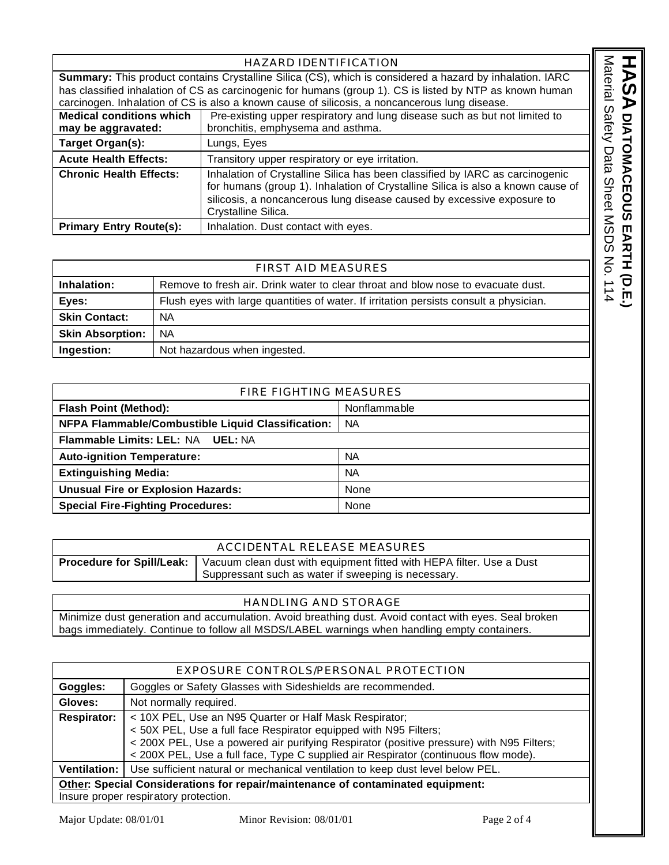| HAZARD IDENTIFICATION                                                                                                       |                                                                                                          |                                                                                                                                                                                        |  |
|-----------------------------------------------------------------------------------------------------------------------------|----------------------------------------------------------------------------------------------------------|----------------------------------------------------------------------------------------------------------------------------------------------------------------------------------------|--|
| Material<br><b>Summary:</b> This product contains Crystalline Silica (CS), which is considered a hazard by inhalation. IARC |                                                                                                          |                                                                                                                                                                                        |  |
|                                                                                                                             | has classified inhalation of CS as carcinogenic for humans (group 1). CS is listed by NTP as known human |                                                                                                                                                                                        |  |
|                                                                                                                             |                                                                                                          | carcinogen. Inhalation of CS is also a known cause of silicosis, a noncancerous lung disease.                                                                                          |  |
| <b>Medical conditions which</b>                                                                                             |                                                                                                          | Pre-existing upper respiratory and lung disease such as but not limited to                                                                                                             |  |
| may be aggravated:                                                                                                          |                                                                                                          | bronchitis, emphysema and asthma.                                                                                                                                                      |  |
| Target Organ(s):                                                                                                            | Lungs, Eyes                                                                                              |                                                                                                                                                                                        |  |
|                                                                                                                             | <b>Acute Health Effects:</b><br>Transitory upper respiratory or eye irritation.                          |                                                                                                                                                                                        |  |
| <b>Chronic Health Effects:</b><br>silicosis, a noncancerous lung disease caused by excessive exposure to                    |                                                                                                          | Inhalation of Crystalline Silica has been classified by IARC as carcinogenic<br>for humans (group 1). Inhalation of Crystalline Silica is also a known cause of<br>Crystalline Silica. |  |
| <b>Primary Entry Route(s):</b>                                                                                              |                                                                                                          | Inhalation. Dust contact with eyes.                                                                                                                                                    |  |
|                                                                                                                             |                                                                                                          |                                                                                                                                                                                        |  |
| $\mathsf{S}$<br><b>FIRST AID MEASURES</b>                                                                                   |                                                                                                          |                                                                                                                                                                                        |  |
| Inhalation:                                                                                                                 |                                                                                                          | Remove to fresh air. Drink water to clear throat and blow nose to evacuate dust.                                                                                                       |  |
| <b>Fyes</b>                                                                                                                 |                                                                                                          | Flush eves with large quantities of water. If irritation persists consult a physician                                                                                                  |  |

|                         | <b>FIRST AID MEASURES</b>                                                              |  |  |
|-------------------------|----------------------------------------------------------------------------------------|--|--|
|                         |                                                                                        |  |  |
| Inhalation:             | Remove to fresh air. Drink water to clear throat and blow nose to evacuate dust.       |  |  |
| Eyes:                   | Flush eyes with large quantities of water. If irritation persists consult a physician. |  |  |
| <b>Skin Contact:</b>    | <b>NA</b>                                                                              |  |  |
| <b>Skin Absorption:</b> | NA.                                                                                    |  |  |
| Ingestion:              | Not hazardous when ingested.                                                           |  |  |

| FIRE FIGHTING MEASURES                            |              |  |
|---------------------------------------------------|--------------|--|
| <b>Flash Point (Method):</b>                      | Nonflammable |  |
| NFPA Flammable/Combustible Liquid Classification: | <b>NA</b>    |  |
| Flammable Limits: LEL: NA UEL: NA                 |              |  |
| <b>Auto-ignition Temperature:</b>                 | <b>NA</b>    |  |
| <b>Extinguishing Media:</b>                       | <b>NA</b>    |  |
| <b>Unusual Fire or Explosion Hazards:</b>         | None         |  |
| <b>Special Fire-Fighting Procedures:</b>          | None         |  |
|                                                   |              |  |

| ACCIDENTAL RELEASE MEASURES |
|-----------------------------|
|                             |

**Procedure for Spill/Leak:** | Vacuum clean dust with equipment fitted with HEPA filter. Use a Dust Suppressant such as water if sweeping is necessary.

# HANDLING AND STORAGE

Minimize dust generation and accumulation. Avoid breathing dust. Avoid contact with eyes. Seal broken bags immediately. Continue to follow all MSDS/LABEL warnings when handling empty containers.

| EXPOSURE CONTROLS/PERSONAL PROTECTION                                           |                                                                                                                                                                                                                                                                                                               |  |  |
|---------------------------------------------------------------------------------|---------------------------------------------------------------------------------------------------------------------------------------------------------------------------------------------------------------------------------------------------------------------------------------------------------------|--|--|
| Goggles:                                                                        | Goggles or Safety Glasses with Sideshields are recommended.                                                                                                                                                                                                                                                   |  |  |
| Gloves:                                                                         | Not normally required.                                                                                                                                                                                                                                                                                        |  |  |
| <b>Respirator:</b>                                                              | < 10X PEL, Use an N95 Quarter or Half Mask Respirator;<br>< 50X PEL, Use a full face Respirator equipped with N95 Filters;<br>< 200X PEL, Use a powered air purifying Respirator (positive pressure) with N95 Filters;<br>< 200X PEL, Use a full face, Type C supplied air Respirator (continuous flow mode). |  |  |
| Ventilation:                                                                    | Use sufficient natural or mechanical ventilation to keep dust level below PEL.                                                                                                                                                                                                                                |  |  |
| Other: Special Considerations for repair/maintenance of contaminated equipment: |                                                                                                                                                                                                                                                                                                               |  |  |
| Insure proper respiratory protection.                                           |                                                                                                                                                                                                                                                                                                               |  |  |

HASA DIATONACEOUS EARTH (D.E.

**DIATOMACEOUS EARTH (D.E.)**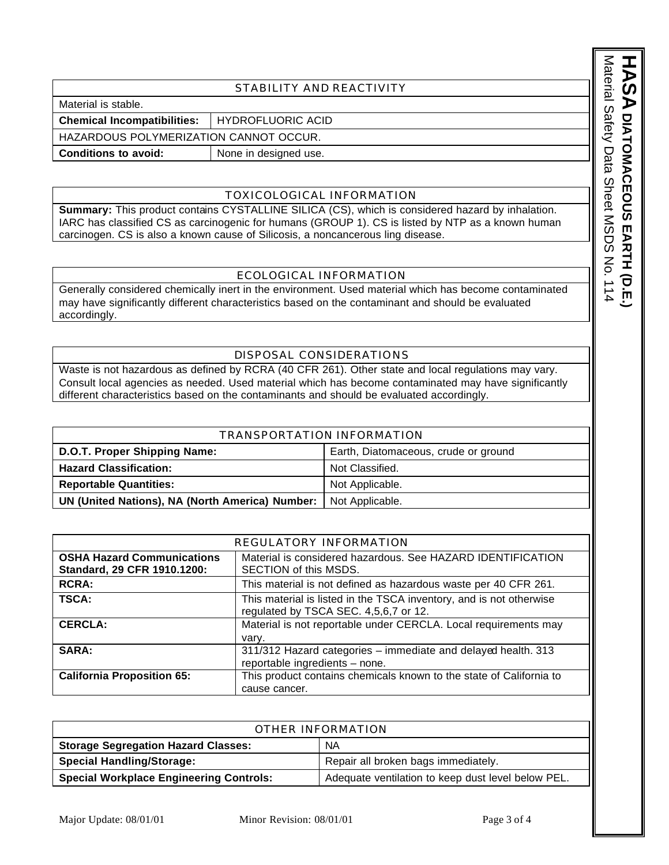#### STABILITY AND REACTIVITY

Material is stable.

**Chemical Incompatibilities:** HYDROFLUORIC ACID

HAZARDOUS POLYMERIZATION CANNOT OCCUR.

**Conditions to avoid:** None in designed use.

#### TOXICOLOGICAL INFORMATION

**Summary:** This product contains CYSTALLINE SILICA (CS), which is considered hazard by inhalation. IARC has classified CS as carcinogenic for humans (GROUP 1). CS is listed by NTP as a known human carcinogen. CS is also a known cause of Silicosis, a noncancerous ling disease.

# ECOLOGICAL INFORMATION

Generally considered chemically inert in the environment. Used material which has become contaminated may have significantly different characteristics based on the contaminant and should be evaluated accordingly.

# DISPOSAL CONSIDERATIONS

Waste is not hazardous as defined by RCRA (40 CFR 261). Other state and local regulations may vary. Consult local agencies as needed. Used material which has become contaminated may have significantly different characteristics based on the contaminants and should be evaluated accordingly.

| TRANSPORTATION INFORMATION                      |                                      |  |
|-------------------------------------------------|--------------------------------------|--|
| D.O.T. Proper Shipping Name:                    | Earth, Diatomaceous, crude or ground |  |
| <b>Hazard Classification:</b>                   | Not Classified.                      |  |
| <b>Reportable Quantities:</b>                   | Not Applicable.                      |  |
| UN (United Nations), NA (North America) Number: | Not Applicable.                      |  |

| REGULATORY INFORMATION            |                                                                     |  |
|-----------------------------------|---------------------------------------------------------------------|--|
| <b>OSHA Hazard Communications</b> | Material is considered hazardous. See HAZARD IDENTIFICATION         |  |
| Standard, 29 CFR 1910.1200:       | SECTION of this MSDS.                                               |  |
| <b>RCRA:</b>                      | This material is not defined as hazardous waste per 40 CFR 261.     |  |
| <b>TSCA:</b>                      | This material is listed in the TSCA inventory, and is not otherwise |  |
|                                   | regulated by TSCA SEC. 4,5,6,7 or 12.                               |  |
| <b>CERCLA:</b>                    | Material is not reportable under CERCLA. Local requirements may     |  |
|                                   | vary.                                                               |  |
| SARA:                             | 311/312 Hazard categories - immediate and delayed health. 313       |  |
|                                   | reportable ingredients - none.                                      |  |
| <b>California Proposition 65:</b> | This product contains chemicals known to the state of California to |  |
|                                   | cause cancer.                                                       |  |

| OTHER INFORMATION                              |                                                    |  |
|------------------------------------------------|----------------------------------------------------|--|
| <b>Storage Segregation Hazard Classes:</b>     | <b>NA</b>                                          |  |
| <b>Special Handling/Storage:</b>               | Repair all broken bags immediately.                |  |
| <b>Special Workplace Engineering Controls:</b> | Adequate ventilation to keep dust level below PEL. |  |

Material Safety Data Sheet MSDS No. 114 Material Safety Data Sheet MSDS No. 114 HASA DIATOMACEOLS EARTH (D.E. **DIATOMACEOUS EARTH (D.E.)**